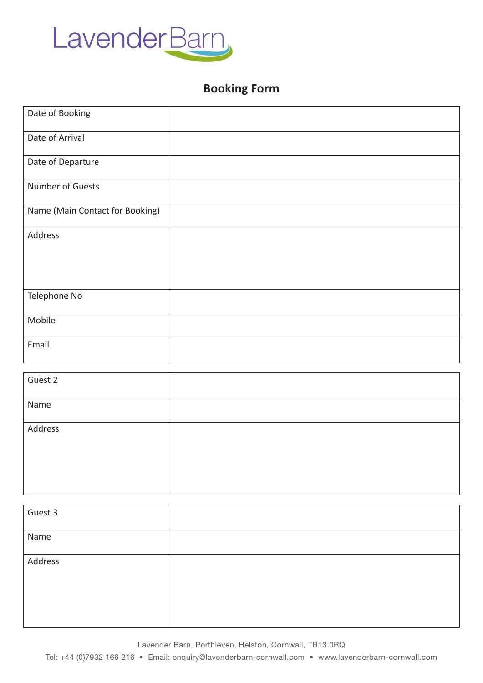

## **Booking Form**

| Date of Booking                 |  |
|---------------------------------|--|
| Date of Arrival                 |  |
| Date of Departure               |  |
| Number of Guests                |  |
| Name (Main Contact for Booking) |  |
| Address                         |  |
| Telephone No                    |  |
| Mobile                          |  |
| Email                           |  |

| Guest 2 |  |
|---------|--|
| Name    |  |
| Address |  |
|         |  |

| Guest 3 |  |
|---------|--|
| Name    |  |
| Address |  |
|         |  |

Lavender Barn, Porthleven, Helston, Cornwall, TR13 0RQ